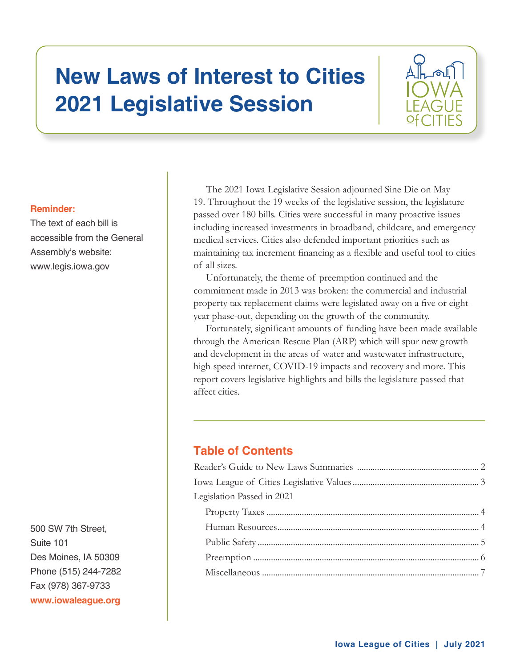# **New Laws of Interest to Cities 2021 Legislative Session**



## **Reminder:**

The text of each bill is accessible from the General Assembly's website: www.legis.iowa.gov

500 SW 7th Street. Suite 101 Des Moines, IA 50309 Phone (515) 244-7282 Fax (978) 367-9733 www.iowaleague.org

The 2021 Iowa Legislative Session adjourned Sine Die on May 19. Throughout the 19 weeks of the legislative session, the legislature passed over 180 bills. Cities were successful in many proactive issues including increased investments in broadband, childcare, and emergency medical services. Cities also defended important priorities such as maintaining tax increment financing as a flexible and useful tool to cities of all sizes.

Unfortunately, the theme of preemption continued and the commitment made in 2013 was broken: the commercial and industrial property tax replacement claims were legislated away on a five or eightyear phase-out, depending on the growth of the community.

Fortunately, significant amounts of funding have been made available through the American Rescue Plan (ARP) which will spur new growth and development in the areas of water and wastewater infrastructure, high speed internet, COVID-19 impacts and recovery and more. This report covers legislative highlights and bills the legislature passed that affect cities.

# **Table of Contents**

| Legislation Passed in 2021 |  |
|----------------------------|--|
|                            |  |
|                            |  |
|                            |  |
|                            |  |
|                            |  |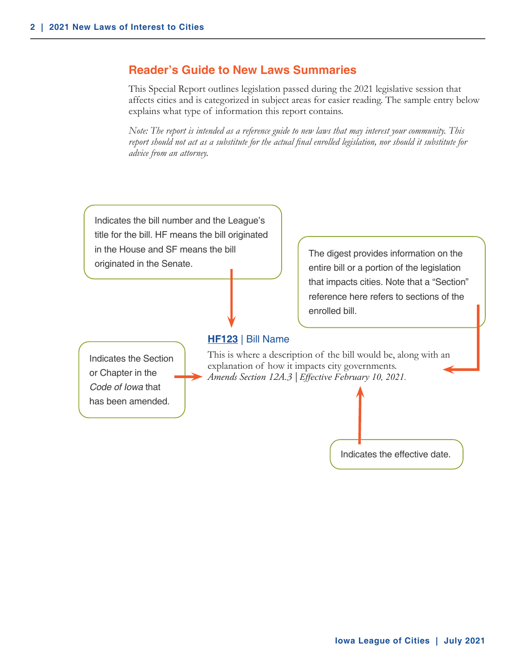# <span id="page-1-0"></span>**Reader's Guide to New Laws Summaries**

This Special Report outlines legislation passed during the 2021 legislative session that affects cities and is categorized in subject areas for easier reading. The sample entry below explains what type of information this report contains.

*Note: The report is intended as a reference guide to new laws that may interest your community. This report should not act as a substitute for the actual final enrolled legislation, nor should it substitute for advice from an attorney.*

Indicates the bill number and the League's title for the bill. HF means the bill originated in the House and SF means the bill originated in the Senate.

**HF123** | Bill Name

Indicates the Section or Chapter in the *Code of Iowa* that has been amended.

This is where a description of the bill would be, along with an explanation of how it impacts city governments. *Amends Section 12A.3 | Effective February 10, 2021.* 

enrolled bill.



The digest provides information on the entire bill or a portion of the legislation that impacts cities. Note that a "Section" reference here refers to sections of the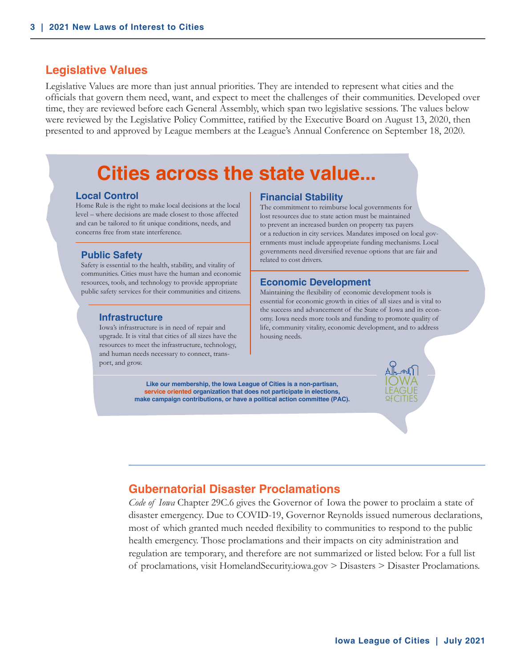## <span id="page-2-0"></span>**Legislative Values**

Legislative Values are more than just annual priorities. They are intended to represent what cities and the officials that govern them need, want, and expect to meet the challenges of their communities. Developed over time, they are reviewed before each General Assembly, which span two legislative sessions. The values below were reviewed by the Legislative Policy Committee, ratified by the Executive Board on August 13, 2020, then presented to and approved by League members at the League's Annual Conference on September 18, 2020.

# **Cities across the state value...**

#### **Local Control**

Home Rule is the right to make local decisions at the local level – where decisions are made closest to those affected and can be tailored to fit unique conditions, needs, and concerns free from state interference.

#### **Public Safety**

Safety is essential to the health, stability, and vitality of communities. Cities must have the human and economic resources, tools, and technology to provide appropriate public safety services for their communities and citizens.

#### **Infrastructure**

Iowa's infrastructure is in need of repair and upgrade. It is vital that cities of all sizes have the resources to meet the infrastructure, technology, and human needs necessary to connect, transport, and grow.

#### **Financial Stability**

The commitment to reimburse local governments for lost resources due to state action must be maintained to prevent an increased burden on property tax payers or a reduction in city services. Mandates imposed on local governments must include appropriate funding mechanisms. Local governments need diversified revenue options that are fair and related to cost drivers.

#### **Economic Development**

Maintaining the flexibility of economic development tools is essential for economic growth in cities of all sizes and is vital to the success and advancement of the State of Iowa and its economy. Iowa needs more tools and funding to promote quality of life, community vitality, economic development, and to address housing needs.

**Like our membership, the Iowa League of Cities is a non-partisan, service oriented organization that does not participate in elections, make campaign contributions, or have a political action committee (PAC).**

# **Gubernatorial Disaster Proclamations**

*Code of Iowa* Chapter 29C.6 gives the Governor of Iowa the power to proclaim a state of disaster emergency. Due to COVID-19, Governor Reynolds issued numerous declarations, most of which granted much needed flexibility to communities to respond to the public health emergency. Those proclamations and their impacts on city administration and regulation are temporary, and therefore are not summarized or listed below. For a full list of proclamations, visit HomelandSecurity.iowa.gov > Disasters > Disaster Proclamations.

IOWA LEAGUE **of**CITIES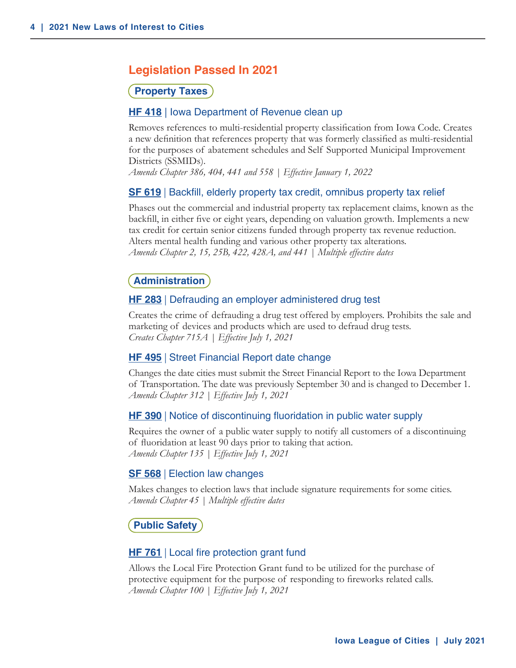# <span id="page-3-0"></span>**Legislation Passed In 2021**

#### **Property Taxes**

#### **HF 418** | Iowa Department of Revenue clean up

Removes references to multi-residential property classification from Iowa Code. Creates a new definition that references property that was formerly classified as multi-residential for the purposes of abatement schedules and Self Supported Municipal Improvement Districts (SSMIDs).

*Amends Chapter 386, 404, 441 and 558 | Effective January 1, 2022*

#### **SF 619** | Backfill, elderly property tax credit, omnibus property tax relief

Phases out the commercial and industrial property tax replacement claims, known as the backfill, in either five or eight years, depending on valuation growth. Implements a new tax credit for certain senior citizens funded through property tax revenue reduction. Alters mental health funding and various other property tax alterations. *Amends Chapter 2, 15, 25B, 422, 428A, and 441 | Multiple effective dates*

#### **Administration**

#### **HF 283** | Defrauding an employer administered drug test

Creates the crime of defrauding a drug test offered by employers. Prohibits the sale and marketing of devices and products which are used to defraud drug tests. *Creates Chapter 715A | Effective July 1, 2021*

#### **HF 495** | Street Financial Report date change

Changes the date cities must submit the Street Financial Report to the Iowa Department of Transportation. The date was previously September 30 and is changed to December 1. *Amends Chapter 312 | Effective July 1, 2021*

#### **HF 390** | Notice of discontinuing fluoridation in public water supply

Requires the owner of a public water supply to notify all customers of a discontinuing of fluoridation at least 90 days prior to taking that action. *Amends Chapter 135 | Effective July 1, 2021*

#### **SF 568** | Election law changes

Makes changes to election laws that include signature requirements for some cities. *Amends Chapter 45 | Multiple effective dates*

**Public Safety**

#### **HF 761** | Local fire protection grant fund

Allows the Local Fire Protection Grant fund to be utilized for the purchase of protective equipment for the purpose of responding to fireworks related calls. *Amends Chapter 100 | Effective July 1, 2021*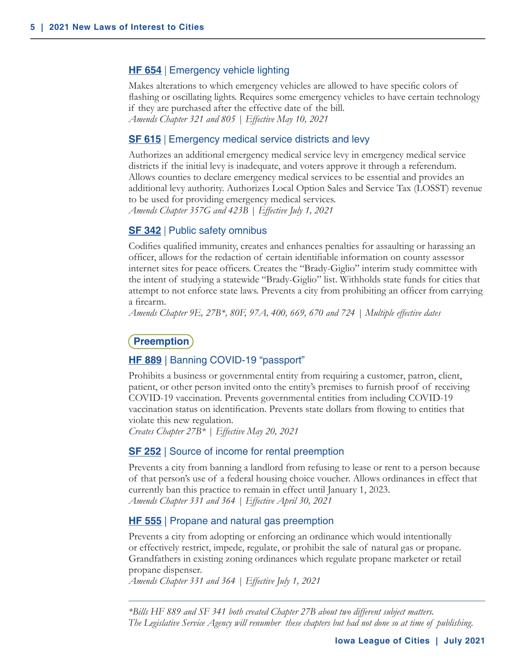#### <span id="page-4-0"></span>**HF 654** | Emergency vehicle lighting

Makes alterations to which emergency vehicles are allowed to have specific colors of flashing or oscillating lights. Requires some emergency vehicles to have certain technology if they are purchased after the effective date of the bill. *Amends Chapter 321 and 805 | Effective May 10, 2021*

#### **SF 615** | Emergency medical service districts and levy

Authorizes an additional emergency medical service levy in emergency medical service districts if the initial levy is inadequate, and voters approve it through a referendum. Allows counties to declare emergency medical services to be essential and provides an additional levy authority. Authorizes Local Option Sales and Service Tax (LOSST) revenue to be used for providing emergency medical services. *Amends Chapter 357G and 423B | Effective July 1, 2021*

#### **SF 342** | Public safety omnibus

Codifies qualified immunity, creates and enhances penalties for assaulting or harassing an officer, allows for the redaction of certain identifiable information on county assessor internet sites for peace officers. Creates the "Brady-Giglio" interim study committee with the intent of studying a statewide "Brady-Giglio" list. Withholds state funds for cities that attempt to not enforce state laws. Prevents a city from prohibiting an officer from carrying a firearm.

*Amends Chapter 9E, 27B\*, 80F, 97A, 400, 669, 670 and 724 | Multiple effective dates*

#### **Preemption**

#### **HF 889** | Banning COVID-19 "passport"

Prohibits a business or governmental entity from requiring a customer, patron, client, patient, or other person invited onto the entity's premises to furnish proof of receiving COVID-19 vaccination. Prevents governmental entities from including COVID-19 vaccination status on identification. Prevents state dollars from flowing to entities that violate this new regulation.

*Creates Chapter 27B\* | Effective May 20, 2021*

#### **SF 252** | Source of income for rental preemption

Prevents a city from banning a landlord from refusing to lease or rent to a person because of that person's use of a federal housing choice voucher. Allows ordinances in effect that currently ban this practice to remain in effect until January 1, 2023. *Amends Chapter 331 and 364 | Effective April 30, 2021*

#### **HF 555** | Propane and natural gas preemption

Prevents a city from adopting or enforcing an ordinance which would intentionally or effectively restrict, impede, regulate, or prohibit the sale of natural gas or propane. Grandfathers in existing zoning ordinances which regulate propane marketer or retail propane dispenser.

*Amends Chapter 331 and 364 | Effective July 1, 2021*

*\*Bills HF 889 and SF 341 both created Chapter 27B about two different subject matters. The Legislative Service Agency will renumber these chapters but had not done so at time of publishing.*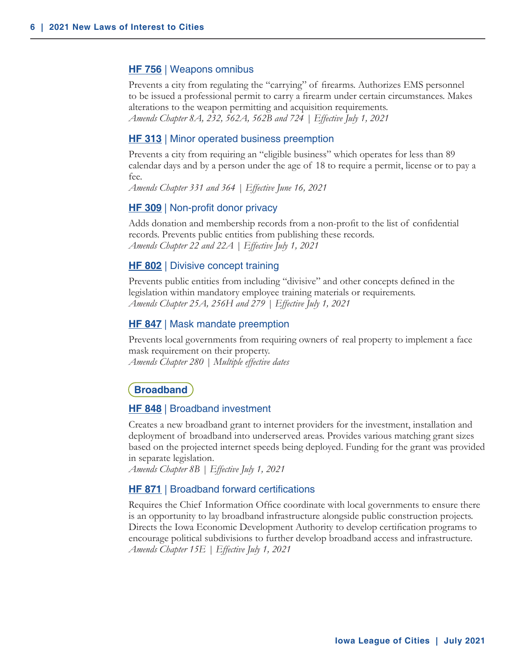#### <span id="page-5-0"></span>**HF 756** | Weapons omnibus

Prevents a city from regulating the "carrying" of firearms. Authorizes EMS personnel to be issued a professional permit to carry a firearm under certain circumstances. Makes alterations to the weapon permitting and acquisition requirements. *Amends Chapter 8A, 232, 562A, 562B and 724 | Effective July 1, 2021*

#### **HF 313** | Minor operated business preemption

Prevents a city from requiring an "eligible business" which operates for less than 89 calendar days and by a person under the age of 18 to require a permit, license or to pay a fee.

*Amends Chapter 331 and 364 | Effective June 16, 2021*

#### **HF 309** | Non-profit donor privacy

Adds donation and membership records from a non-profit to the list of confidential records. Prevents public entities from publishing these records. *Amends Chapter 22 and 22A | Effective July 1, 2021*

#### **HF 802** | Divisive concept training

Prevents public entities from including "divisive" and other concepts defined in the legislation within mandatory employee training materials or requirements. *Amends Chapter 25A, 256H and 279 | Effective July 1, 2021*

#### **HF 847** | Mask mandate preemption

Prevents local governments from requiring owners of real property to implement a face mask requirement on their property. *Amends Chapter 280 | Multiple effective dates*

#### **Broadband**

#### **HF 848** | Broadband investment

Creates a new broadband grant to internet providers for the investment, installation and deployment of broadband into underserved areas. Provides various matching grant sizes based on the projected internet speeds being deployed. Funding for the grant was provided in separate legislation.

*Amends Chapter 8B | Effective July 1, 2021*

#### **HF 871** | Broadband forward certifications

Requires the Chief Information Office coordinate with local governments to ensure there is an opportunity to lay broadband infrastructure alongside public construction projects. Directs the Iowa Economic Development Authority to develop certification programs to encourage political subdivisions to further develop broadband access and infrastructure. *Amends Chapter 15E | Effective July 1, 2021*